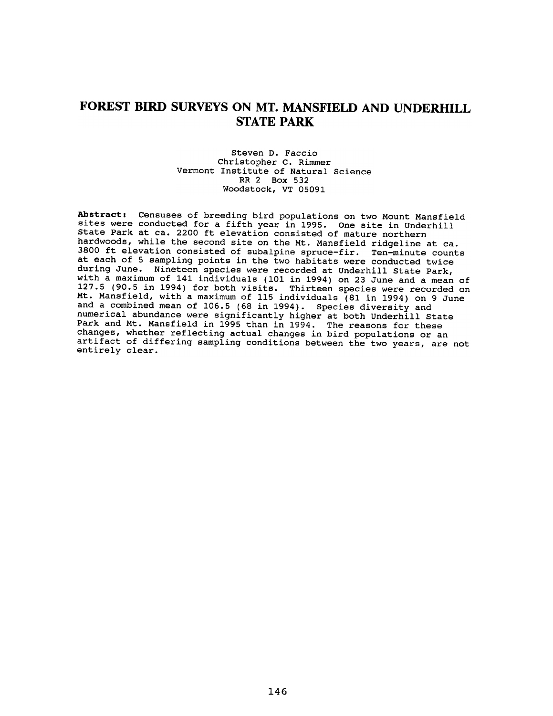# FOREST BIRD SURVEYS ON MT. MANSFIELD AND UNDERHILL **STATE PARK**

#### Steven D. Faccio Christopher C. Rimmer Vermont Institute of Natural Science RR 2 Box 532 Woodstock, VT 05091

Abstract: Censuses of breeding bird populations on two Mount Mansfield<br>sites were conducted for a fifth year in 1995. One site in Underhill State Park at ca. 2200 ft elevation consisted of mature northern hardwoods, while the second site on the Mt. Mansfield ridgeline at ca. 3800 ft elevation consisted of subalpine spruce-fir. Ten-minute counts at each of 5 sampling points in the two habitats were conducted twice during June. Nineteen species were recorded at Underhill State Park, with a maximum of 141 individuals (101 in 1994) on 23 June and a mean of 127.5 (90.5 in 1994) for both visits. Thirteen species were recorded on Mt. Mansfield, with a maximum of 115 individuals (81 in 1994) on 9 June<br>and a combined mean of 106.5 (68 in 1994). Species diversity and numerical abundance were significantly higher at both Underhill State<br>Park and Mt. Mansfield in 1995 than in 1994. The reasons for these<br>changes, whether reflecting actual changes in bird populations or an artifact of differing sampling conditions between the two years, are not entirely clear.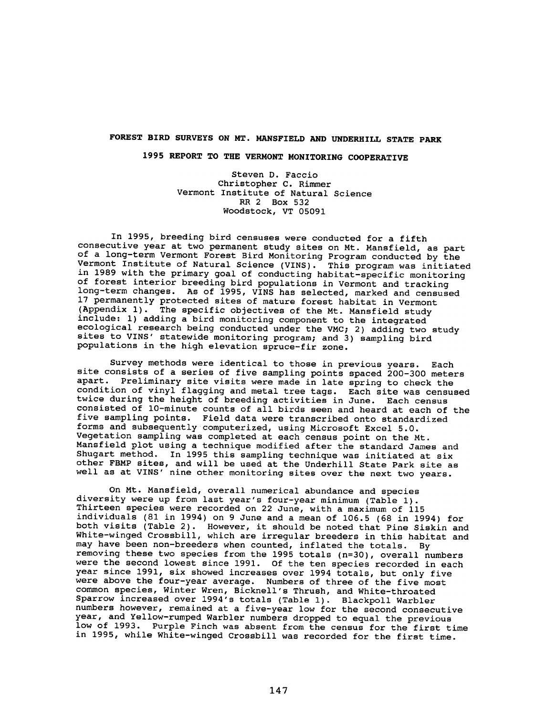### FOREST BIRD SURVEYS ON MT. MANSFIELD AND UNDERHILL STATE PARK

## 1995 REPORT TO THE VERMONT MONITORING COOPERATIVE

Steven D. Faccio Christopher C. Rimmer Vermont Institute of Natural Science RR 2 Box 532 Woodstock, VT 05091

In 1995, breeding bird censuses were conducted for a fifth consecutive year at two permanent study sites on Mt. Mansfield, as part of a long-term Vermont Forest Bird Monitoring Program conducted by the Vermont Institute of Natural Science (VINS). This program was initiated in 1989 with the primary goal of conducting habitat-specific monitoring of forest interior breeding bird populations in Vermont and tracking long-term changes. As of 1995, VINS has selected, marked and censused 17 permanently protected sites of mature forest habitat in Vermon (Appendix 1). The specific objectives of the Mt. Mansfield stud include: 1) adding a bird monitoring component to the integrated ecological research being conducted under the VMC; 2) adding two study sites to VINS' statewide monitoring program; and 3) sampling bird populations in the high elevation spruce-fir zone.

Survey methods were identical to those in previous years. Each site consists of a series of five sampling points spaced 200-300 meters apart. Preliminary site visits were made in late spring to check th condition of vinyl flagging and metal tree tags. Each site was censuse twice during the height of breeding activities in June. Each census consisted of 10-minute counts of all birds seen and heard at each of the five sampling points. Field data were transcribed onto standardized forms and subsequently computerized, using Microsoft Excel 5.0. Vegetation sampling was completed at each census point on the Mt. Mansfield plot using a technique modified after the standard James and Shugart method. In 1995 this sampling technique was initiated at six other FBMP sites, and will be used at the Underhill State Park site as well as at VINS' nine other monitoring sites over the next two year

On Mt. Mansfield, overall numerical abundance and species diversity were up from last year's four-year minimum (Table 1). Thirteen species were recorded on 22 June, with a maximum of 115 individuals (81 in 1994) on 9 June and a mean of 106.5 (68 in 1994) for both visits (Table 2). However, it should be noted that Pine Siskin and White-winged Crossbill, which are irregular breeders in this habitat and may have been non-breeders when counted, inflated the totals. By removing these two species from the 1995 totals (n=30), overall number were the second lowest since 1991. Of the ten species recorded in each year since 1991, six showed increases over 1994 totals, but only fiv were above the four-year average. Numbers of three of the five most common species, Winter Wren, Bicknell's Thrush, and White-throated Sparrow increased over 1994's totals (Table 1). Blackpoll Warbler numbers however, remained at a five-year low for the second consecutive year, and Yellow-rumped Warbler numbers dropped to equal the previous low of 1993. Purple Finch was absent from the census for the first time in 1995, while White-winged Crossbill was recorded for the first time.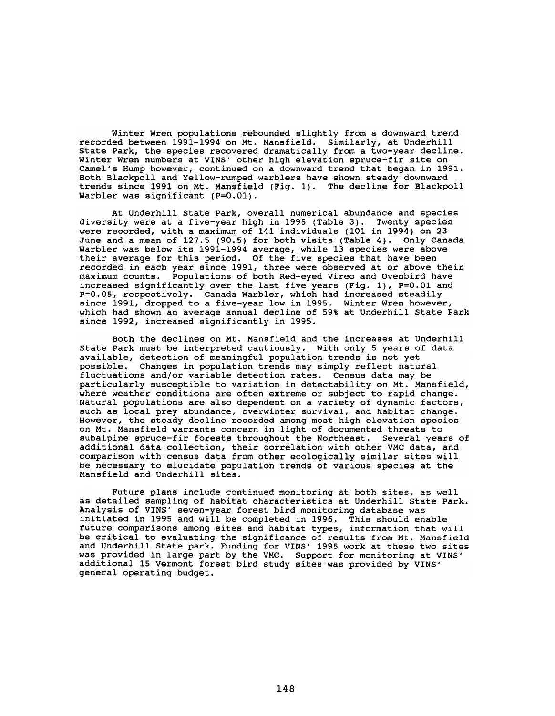Winter Wren populations rebounded slightly from a downward trend recorded between 1991-1994 on Mt. Mansfield. Similarly, at Underhill State Park, the species recovered dramatically from a two-year decline. Winter Wren numbers at VINS' other high elevation spruce-fir site on Camel's Hump however, continued on a downward trend that began in 1991. Both Blackpoll and Yellow-rumped warblers have shown steady downward trends since 1991 on Mt. Mansfield (Fig. 1). The decline for Blackpoll Warbler was significant (P=O.Ol).

At Underhill State Park, overall numerical abundance and species diversity were at a five-year high in 1995 (Table 3). Twenty species were recorded, with a maximum of 141 individuals (101 in 1994) on 23 June and a mean of 127.5 (90.5) for both visits (Table 4). Only Canada Warbler was below its 1991-1994 average, while 13 species were above their average for this period. Of the five species that have been recorded in each year since 1991, three were observed at or above their maximum counts. Populations of both Red-eyed Vireo and Ovenbird have increased significantly over the last five years (Fig. 1), P=0.01 and P=0.05, respectively. Canada Warbler, which had increased steadily since 1991, dropped to a five-year low in 1995. Winter Wren however, which had shown an average annual decline of 59% at Underhill State Park since 1992, increased significantly in 1995.

Both the declines on Mt. Mansfield and the increases at Underhill State Park must be interpreted cautiously. With only 5 years of data available, detection of meaningful population trends is not yet possible. Changes in population trends may simply reflect natural fluctuations and/or variable detection rates. Census data may be particularly susceptible to variation in detectability on Mt. Mansfield, where weather conditions are often extreme or subject to rapid change. Natural populations are also dependent on a variety of dynamic factors, such as local prey abundance, overwinter survival, and habitat change. However, the steady decline recorded among most high elevation species on Mt. Mansfield warrants concern in light of documented threats to subalpine spruce-fir forests throughout the Northeast. Several years of additional data collection, their correlation with other VMC data, and comparison with census data from other ecologically similar sites will be necessary to elucidate population trends of various species at the Mansfield and Underhill sites.

Future plans include continued monitoring at both sites, as well as detailed sampling of habitat characteristics at Underhill State Park. Analysis of VINS' seven-year forest bird monitoring database was initiated in 1995 and will be completed in 1996. This should enable future comparisons among sites and habitat types, information that will be critical to evaluating the significance of results from Mt. Mansfield and Underhill State park. Funding for VINS' 1995 work at these two sites was provided in large part by the VMC. Support for monitoring at VINS' additional 15 Vermont forest bird study sites was provided by VINS' general operating budget.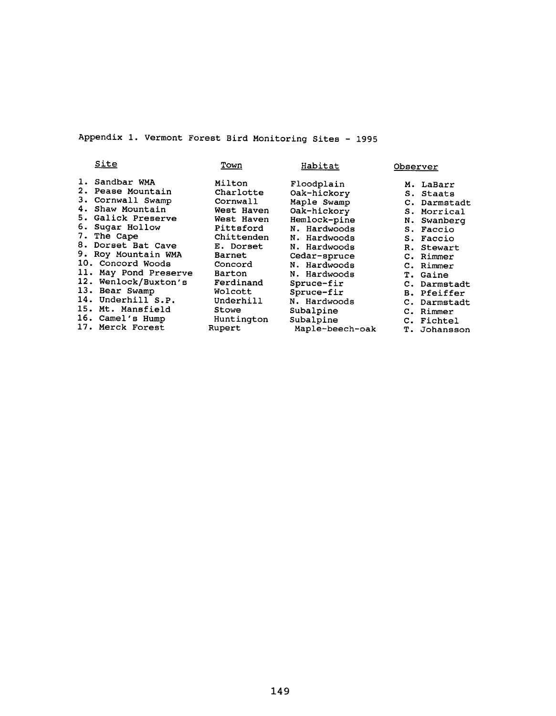Appendix 1. Vermont Forest Bird Monitoring Sites - 1995

| Site                                                                                                                                                                                                                                                                                                                                                            | Town                                                                                                                                                                                                     | Habitat                                                                                                                                                                                                                                                          | Observer                                                                                                                                                                                                                                            |
|-----------------------------------------------------------------------------------------------------------------------------------------------------------------------------------------------------------------------------------------------------------------------------------------------------------------------------------------------------------------|----------------------------------------------------------------------------------------------------------------------------------------------------------------------------------------------------------|------------------------------------------------------------------------------------------------------------------------------------------------------------------------------------------------------------------------------------------------------------------|-----------------------------------------------------------------------------------------------------------------------------------------------------------------------------------------------------------------------------------------------------|
| 1. Sandbar WMA<br>2. Pease Mountain<br>3. Cornwall Swamp<br>4. Shaw Mountain<br>5. Galick Preserve<br>6. Sugar Hollow<br>7. The Cape<br>8. Dorset Bat Cave<br>9. Roy Mountain WMA<br>10. Concord Woods<br>11.<br>May Pond Preserve<br>12. Wenlock/Buxton's<br>13. Bear Swamp<br>14. Underhill S.P.<br>15. Mt. Mansfield<br>16. Camel's Hump<br>17. Merck Forest | Milton<br>Charlotte<br>Cornwall<br>West Haven<br>West Haven<br>Pittsford<br>Chittenden<br>E. Dorset<br>Barnet<br>Concord<br>Barton<br>Ferdinand<br>Wolcott<br>Underhill<br>Stowe<br>Huntington<br>Rupert | Floodplain<br>Oak-hickory<br>Maple Swamp<br>Oak-hickory<br>Hemlock-pine<br>N. Hardwoods<br>N. Hardwoods<br>N. Hardwoods<br>Cedar-spruce<br>N. Hardwoods<br>N. Hardwoods<br>Spruce-fir<br>Spruce-fir<br>N. Hardwoods<br>Subalpine<br>Subalpine<br>Maple-beech-oak | M. LaBarr<br>S. Staats<br>C. Darmstadt<br>S. Morrical<br>N. Swanberg<br>S. Faccio<br>S. Faccio<br>R. Stewart<br>C. Rimmer<br>C. Rimmer<br>T. Gaine<br>C. Darmstadt<br><b>B.</b> Pfeiffer<br>C. Darmstadt<br>C. Rimmer<br>C. Fichtel<br>T. Johansson |
|                                                                                                                                                                                                                                                                                                                                                                 |                                                                                                                                                                                                          |                                                                                                                                                                                                                                                                  |                                                                                                                                                                                                                                                     |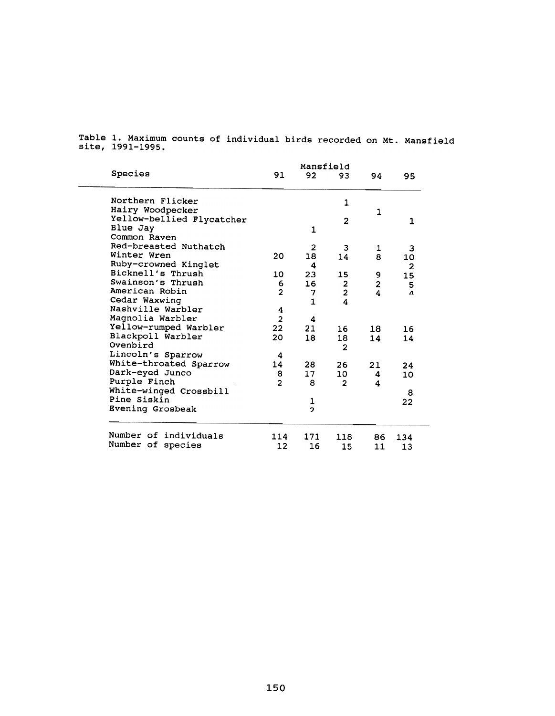|                           | Mansfield      |                |                |                         |                |
|---------------------------|----------------|----------------|----------------|-------------------------|----------------|
| Species                   | 91             | 92             | 93             | 94                      | 95             |
| Northern Flicker          |                |                | 1              |                         |                |
| Hairy Woodpecker          |                |                |                | $\mathbf{1}$            |                |
| Yellow-bellied Flycatcher |                |                | $\overline{2}$ |                         | $\mathbf{1}$   |
| Blue Jay                  |                | 1              |                |                         |                |
| Common Raven              |                |                |                |                         |                |
| Red-breasted Nuthatch     |                | $\overline{2}$ | 3              | 1                       | 3              |
| Winter Wren               | 20             | 18             | 14             | 8                       | 10             |
| Ruby-crowned Kinglet      |                | 4              |                |                         | $\overline{a}$ |
| Bicknell's Thrush         | 10             | 23             | 15             | 9                       | 15             |
| Swainson's Thrush         | 6              | 16             |                | 2                       | 5              |
| American Robin            | $\overline{2}$ | 7              | $\frac{2}{2}$  | $\overline{\mathbf{A}}$ | Λ              |
| Cedar Waxwing             |                | $\mathbf{1}$   | 4              |                         |                |
| Nashville Warbler         | 4              |                |                |                         |                |
| Magnolia Warbler          | $\overline{2}$ | 4              |                |                         |                |
| Yellow-rumped Warbler     | 22             | 21             | 16             | 18                      | 16             |
| Blackpoll Warbler         | 20             | 18             | 18             | 14                      | 14             |
| Ovenbird                  |                |                | $\overline{2}$ |                         |                |
| Lincoln's Sparrow         | 4              |                |                |                         |                |
| White-throated Sparrow    | 14             | 28             | 26             | 21                      | 24             |
| Dark-eyed Junco           | 8              | $17 \,$        | 10             | 4                       | 10             |
| Purple Finch              | $\overline{2}$ | 8              | $\overline{2}$ | 4                       |                |
| White-winged Crossbill    |                |                |                |                         | 8              |
| Pine Siskin               |                | 1              |                |                         | 22             |
| Evening Grosbeak          |                | $\overline{2}$ |                |                         |                |
| Number of individuals     | 114            | 171            | 118            | 86                      | 134            |
| Number of species         | 12             | 16             | 15             | 11                      | 13             |
|                           |                |                |                |                         |                |

Table 1. Maximum counts of individual birds recorded on Mt. Mansfield site, 1991–19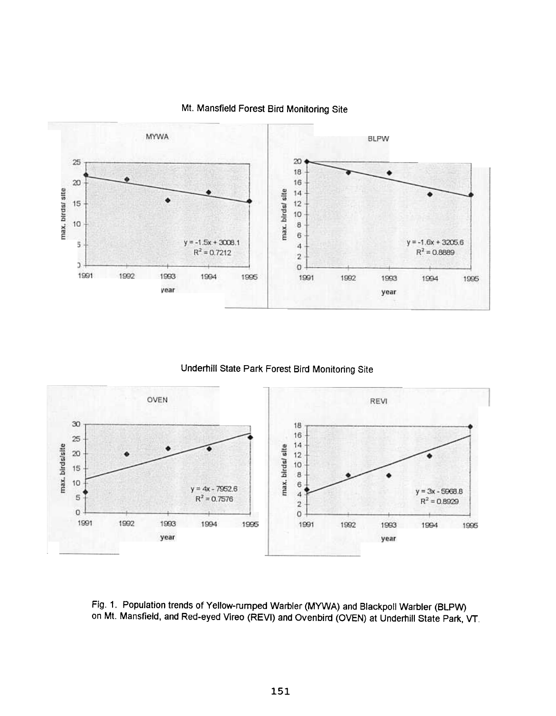

## Mt. Mansfield Forest Bird Monitoring Site

## Underhill State Park Forest Bird Monitoring Site



Fig. 1. Population trends of Yellow-rumped Warbler (MYWA) and Blackpoll Warbler (BLPW) on Mt. Mansfield, and Red-eyed Vireo (REVI) and Ovenbird (OVEN) at Underhill State Park, VT.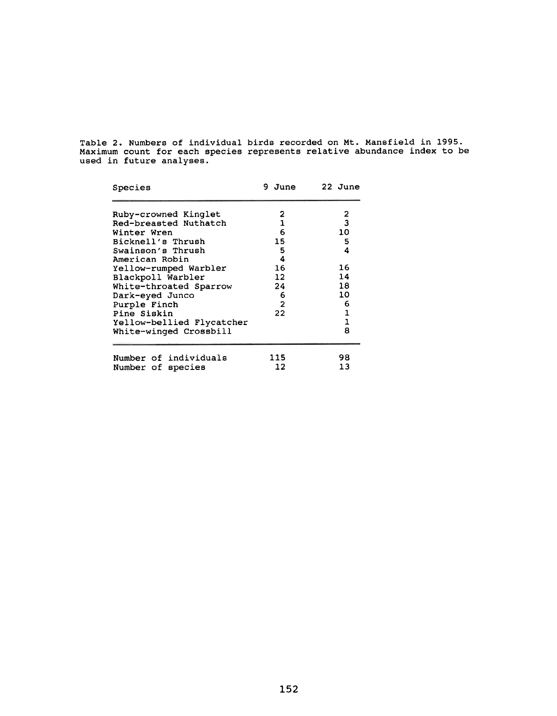Table 2. Numbers of individual birds recorded on Mt. Mansfield in 1995. Maximum count for each species represents relative abundance index to be used in future analys $\epsilon$ 

| Species                   | 9 June         | 22 June      |
|---------------------------|----------------|--------------|
| Ruby-crowned Kinglet      | 2              | 2            |
| Red-breasted Nuthatch     | $\mathbf{1}$   | 3            |
| Winter Wren               | 6              | 10           |
| Bicknell's Thrush         | 15             | 5            |
| Swainson's Thrush         | 5              | 4            |
| American Robin            | 4              |              |
| Yellow-rumped Warbler     | 16             | 16           |
| Blackpoll Warbler         | $12 \,$        | 14           |
| White-throated Sparrow    | 24             | 18           |
| Dark-eyed Junco           | 6              | 10           |
| Purple Finch              | $\overline{2}$ | 6            |
| Pine Siskin               | 22             | 1            |
| Yellow-bellied Flycatcher |                | $\mathbf{1}$ |
| White-winged Crossbill    |                | 8            |
| Number of individuals     | 115            | 98           |
| Number of species         | 12             | 13           |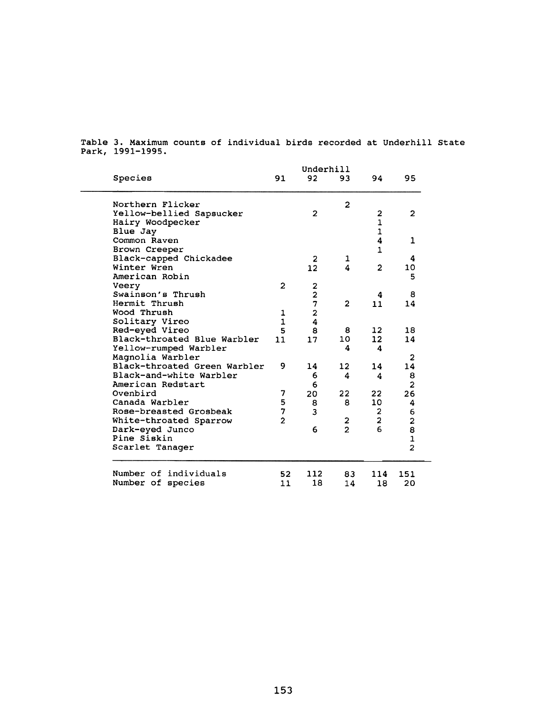|                              | Underhill      |                         |                |                         |                         |  |
|------------------------------|----------------|-------------------------|----------------|-------------------------|-------------------------|--|
| Species                      | 91             | 92                      | 93             | 94.                     | 95                      |  |
| Northern Flicker             |                |                         | $\overline{2}$ |                         |                         |  |
| Yellow-bellied Sapsucker     |                | $\overline{2}$          |                | $\mathbf{2}$            | $\overline{\mathbf{c}}$ |  |
| Hairy Woodpecker             |                |                         |                | $\mathbf{1}$            |                         |  |
| Blue Jay                     |                |                         |                | $\mathbf{1}$            |                         |  |
| Common Raven                 |                |                         |                | 4                       | 1                       |  |
| Brown Creeper                |                |                         |                | $\mathbf{1}$            |                         |  |
| Black-capped Chickadee       |                | 2                       | 1              |                         | 4                       |  |
| Winter Wren                  |                | 12                      | 4              | $\overline{2}$          | 10                      |  |
| American Robin               |                |                         |                |                         | 5                       |  |
| Veery                        | $\mathbf{2}$   |                         |                |                         |                         |  |
| Swainson's Thrush            |                | $\frac{2}{2}$           |                | 4                       | 8                       |  |
| Hermit Thrush                |                | 7                       | $\overline{2}$ | 11                      | 14                      |  |
| Wood Thrush                  | 1              | $\overline{\mathbf{c}}$ |                |                         |                         |  |
| Solitary Vireo               | $\mathbf{1}$   | 4                       |                |                         |                         |  |
| Red-eyed Vireo               | 5              | 8                       | 8              | 12                      | 18                      |  |
| Black-throated Blue Warbler  | 11             | 17                      | 10             | 12 <sup>2</sup>         | 14                      |  |
| Yellow-rumped Warbler        |                |                         | 4              | 4                       |                         |  |
| Magnolia Warbler             |                |                         |                |                         | 2                       |  |
| Black-throated Green Warbler | 9              | 14                      | 12             | 14                      | 14                      |  |
| Black-and-white Warbler      |                | 6                       | 4              | 4                       | 8                       |  |
| American Redstart            |                | 6                       |                |                         | $\overline{\mathbf{c}}$ |  |
| Ovenbird                     | 7              | 20                      | 22             | 22                      | 26                      |  |
| Canada Warbler               | 5              | 8                       | 8              | 10                      | 4                       |  |
| Rose-breasted Grosbeak       | 7              | 3                       |                | $\mathbf{2}$            | 6                       |  |
| White-throated Sparrow       | $\overline{2}$ |                         | 2              | $\overline{\mathbf{c}}$ | $\overline{\mathbf{c}}$ |  |
| Dark-eyed Junco              |                | 6                       | $\overline{2}$ | 6                       | 8                       |  |
| Pine Siskin                  |                |                         |                |                         | $\frac{1}{2}$           |  |
| Scarlet Tanager              |                |                         |                |                         |                         |  |
| Number of individuals        | 52             | 112                     | 83             | 114                     | 151                     |  |
| Number of species            | 11             | 18                      | 14             | 18                      | 20                      |  |
|                              |                |                         |                |                         |                         |  |

Table 3. Maximum counts of individual birds recorded at Underbill State Park, 1991-1995.